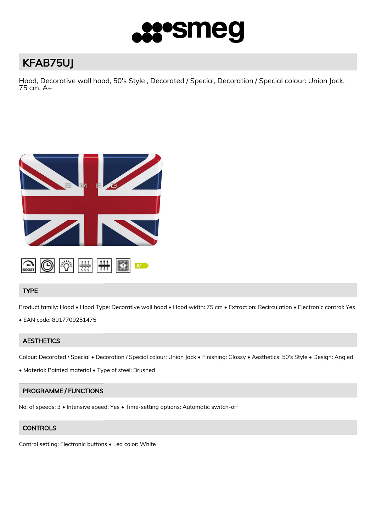

# KFAB75UJ

Hood, Decorative wall hood, 50's Style , Decorated / Special, Decoration / Special colour: Union Jack, 75 cm, A+



# TYPE

Product family: Hood • Hood Type: Decorative wall hood • Hood width: 75 cm • Extraction: Recirculation • Electronic control: Yes

• EAN code: 8017709251475

# **AESTHETICS**

Colour: Decorated / Special • Decoration / Special colour: Union Jack • Finishing: Glossy • Aesthetics: 50's Style • Design: Angled

• Material: Painted material • Type of steel: Brushed

# PROGRAMME / FUNCTIONS

No. of speeds: 3 • Intensive speed: Yes • Time-setting options: Automatic switch-off

# **CONTROLS**

Control setting: Electronic buttons • Led color: White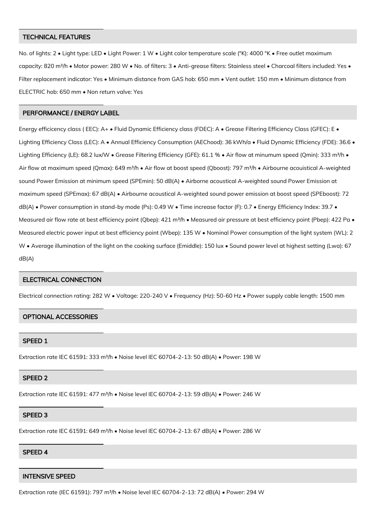## TECHNICAL FEATURES

No. of lights: 2 • Light type: LED • Light Power: 1 W • Light color temperature scale (°K): 4000 °K • Free outlet maximum capacity: 820 m<sup>3</sup>/h • Motor power: 280 W • No. of filters: 3 • Anti-grease filters: Stainless steel • Charcoal filters included: Yes • Filter replacement indicator: Yes • Minimum distance from GAS hob: 650 mm • Vent outlet: 150 mm • Minimum distance from ELECTRIC hob: 650 mm • Non return valve: Yes

## PERFORMANCE / ENERGY LABEL

Energy efficicency class ( EEC): A+ • Fluid Dynamic Efficiency class (FDEC): A • Grease Filtering Efficiency Class (GFEC): E • Lighting Efficiency Class (LEC): A • Annual Efficiency Consumption (AEChood): 36 kWh/a • Fluid Dynamic Efficiency (FDE): 36.6 • Lighting Efficiency (LE): 68.2 lux/W • Grease Filtering Efficiency (GFE): 61.1 % • Air flow at minumum speed (Qmin): 333 m<sup>3</sup>/h • Air flow at maximum speed (Qmax): 649 m<sup>3</sup>/h • Air flow at boost speed (Qboost): 797 m<sup>3</sup>/h • Airbourne acouistical A-weighted sound Power Emission at minimum speed (SPEmin): 50 dB(A) · Airborne acoustical A-weighted sound Power Emission at maximum speed (SPEmax): 67 dB(A) • Airbourne acoustical A-weighted sound power emission at boost speed (SPEboost): 72 dB(A) • Power consumption in stand-by mode (Ps): 0.49 W • Time increase factor (F): 0.7 • Energy Efficiency Index: 39.7 • Measured air flow rate at best efficiency point (Qbep): 421 m<sup>3</sup>/h • Measured air pressure at best efficiency point (Pbep): 422 Pa • Measured electric power input at best efficiency point (Wbep): 135 W • Nominal Power consumption of the light system (WL): 2 W • Average illumination of the light on the cooking surface (Emiddle): 150 lux • Sound power level at highest setting (Lwa): 67 dB(A)

## ELECTRICAL CONNECTION

Electrical connection rating: 282 W • Voltage: 220-240 V • Frequency (Hz): 50-60 Hz • Power supply cable length: 1500 mm

## OPTIONAL ACCESSORIES

## SPEED 1

Extraction rate IEC 61591: 333 m³/h • Noise level IEC 60704-2-13: 50 dB(A) • Power: 198 W

## SPEED 2

Extraction rate IEC 61591: 477 m<sup>3</sup>/h • Noise level IEC 60704-2-13: 59 dB(A) • Power: 246 W

#### SPEED 3

Extraction rate IEC 61591: 649 m<sup>3</sup>/h · Noise level IEC 60704-2-13: 67 dB(A) · Power: 286 W

#### SPEED 4

## INTENSIVE SPEED

Extraction rate (IEC 61591): 797 m<sup>3</sup>/h · Noise level IEC 60704-2-13: 72 dB(A) · Power: 294 W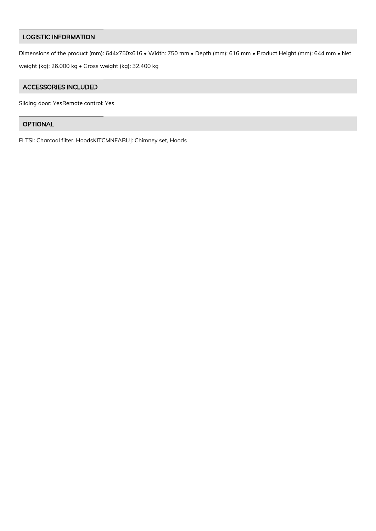# LOGISTIC INFORMATION

Dimensions of the product (mm): 644x750x616 • Width: 750 mm • Depth (mm): 616 mm • Product Height (mm): 644 mm • Net weight (kg): 26.000 kg • Gross weight (kg): 32.400 kg

## ACCESSORIES INCLUDED

Sliding door: YesRemote control: Yes

# OPTIONAL

FLTSI: Charcoal filter, HoodsKITCMNFABUJ: Chimney set, Hoods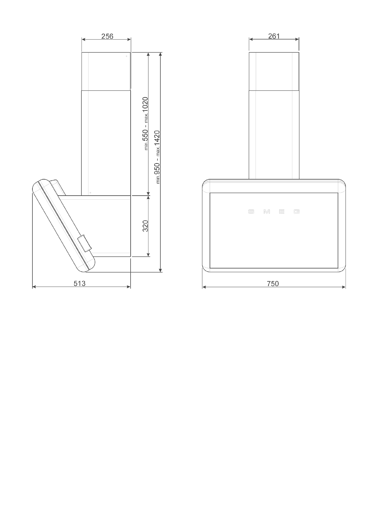